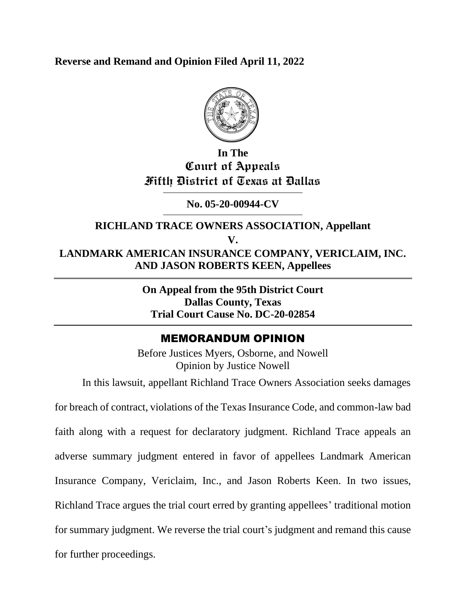**Reverse and Remand and Opinion Filed April 11, 2022**



## **In The Court of Appeals Fifth District of Texas at Dallas**

## **No. 05-20-00944-CV**

## **RICHLAND TRACE OWNERS ASSOCIATION, Appellant V. LANDMARK AMERICAN INSURANCE COMPANY, VERICLAIM, INC. AND JASON ROBERTS KEEN, Appellees**

**On Appeal from the 95th District Court Dallas County, Texas Trial Court Cause No. DC-20-02854**

## MEMORANDUM OPINION

Before Justices Myers, Osborne, and Nowell Opinion by Justice Nowell

In this lawsuit, appellant Richland Trace Owners Association seeks damages

for breach of contract, violations of the Texas Insurance Code, and common-law bad faith along with a request for declaratory judgment. Richland Trace appeals an adverse summary judgment entered in favor of appellees Landmark American Insurance Company, Vericlaim, Inc., and Jason Roberts Keen. In two issues, Richland Trace argues the trial court erred by granting appellees' traditional motion for summary judgment. We reverse the trial court's judgment and remand this cause for further proceedings.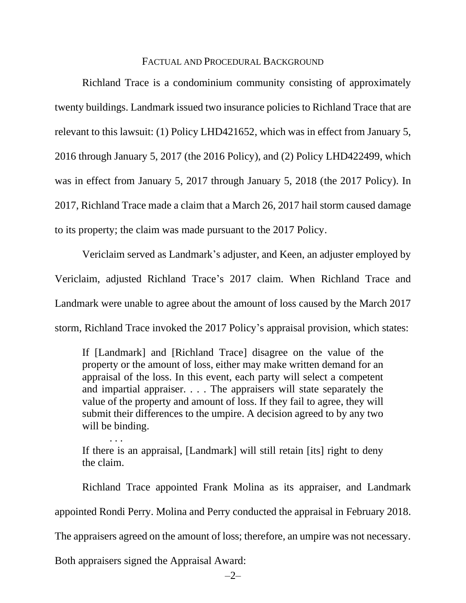#### FACTUAL AND PROCEDURAL BACKGROUND

Richland Trace is a condominium community consisting of approximately twenty buildings. Landmark issued two insurance policies to Richland Trace that are relevant to this lawsuit: (1) Policy LHD421652, which was in effect from January 5, 2016 through January 5, 2017 (the 2016 Policy), and (2) Policy LHD422499, which was in effect from January 5, 2017 through January 5, 2018 (the 2017 Policy). In 2017, Richland Trace made a claim that a March 26, 2017 hail storm caused damage to its property; the claim was made pursuant to the 2017 Policy.

Vericlaim served as Landmark's adjuster, and Keen, an adjuster employed by Vericlaim, adjusted Richland Trace's 2017 claim. When Richland Trace and Landmark were unable to agree about the amount of loss caused by the March 2017 storm, Richland Trace invoked the 2017 Policy's appraisal provision, which states:

If [Landmark] and [Richland Trace] disagree on the value of the property or the amount of loss, either may make written demand for an appraisal of the loss. In this event, each party will select a competent and impartial appraiser. . . . The appraisers will state separately the value of the property and amount of loss. If they fail to agree, they will submit their differences to the umpire. A decision agreed to by any two will be binding.

If there is an appraisal, [Landmark] will still retain [its] right to deny the claim.

Richland Trace appointed Frank Molina as its appraiser, and Landmark appointed Rondi Perry. Molina and Perry conducted the appraisal in February 2018. The appraisers agreed on the amount of loss; therefore, an umpire was not necessary.

Both appraisers signed the Appraisal Award:

. . .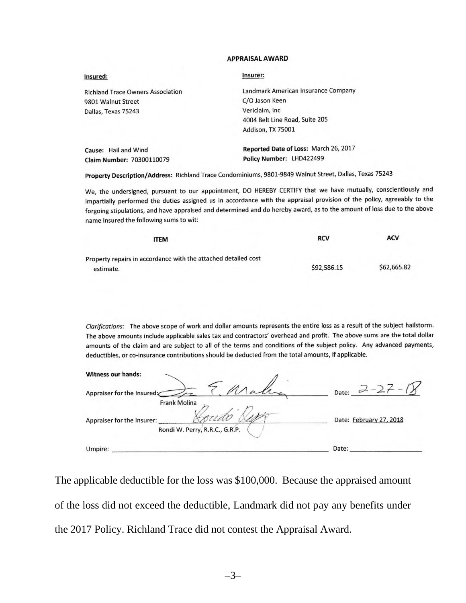#### **APPRAISAL AWARD**

| Insured:                                 | Insurer:                              |
|------------------------------------------|---------------------------------------|
| <b>Richland Trace Owners Association</b> | Landmark American Insurance Company   |
| 9801 Walnut Street                       | C/O Jason Keen                        |
| Dallas, Texas 75243                      | Vericlaim, Inc.                       |
|                                          | 4004 Belt Line Road, Suite 205        |
|                                          | Addison, TX 75001                     |
| Cause: Hail and Wind                     | Reported Date of Loss: March 26, 2017 |
| Claim Number: 70300110079                | Policy Number: LHD422499              |

Property Description/Address: Richland Trace Condominiums, 9801-9849 Walnut Street, Dallas, Texas 75243

We, the undersigned, pursuant to our appointment, DO HEREBY CERTIFY that we have mutually, conscientiously and impartially performed the duties assigned us in accordance with the appraisal provision of the policy, agreeably to the forgoing stipulations, and have appraised and determined and do hereby award, as to the amount of loss due to the above name Insured the following sums to wit:

| <b>ITEM</b>                                                    | <b>RCV</b>  | <b>ACV</b>  |
|----------------------------------------------------------------|-------------|-------------|
| Property repairs in accordance with the attached detailed cost |             |             |
| estimate.                                                      | \$92,586.15 | \$62,665.82 |

Clarifications: The above scope of work and dollar amounts represents the entire loss as a result of the subject hailstorm. The above amounts include applicable sales tax and contractors' overhead and profit. The above sums are the total dollar amounts of the claim and are subject to all of the terms and conditions of the subject policy. Any advanced payments, deductibles, or co-insurance contributions should be deducted from the total amounts, if applicable.

| <b>Witness our hands:</b>                                                           |                         |
|-------------------------------------------------------------------------------------|-------------------------|
| Appraiser for the Insured:                                                          | Date:                   |
| <b>Frank Molina</b><br>Appraiser for the Insurer:<br>Rondi W. Perry, R.R.C., G.R.P. | Date: February 27, 2018 |
| Umpire:                                                                             | Date:                   |

The applicable deductible for the loss was \$100,000. Because the appraised amount of the loss did not exceed the deductible, Landmark did not pay any benefits under the 2017 Policy. Richland Trace did not contest the Appraisal Award.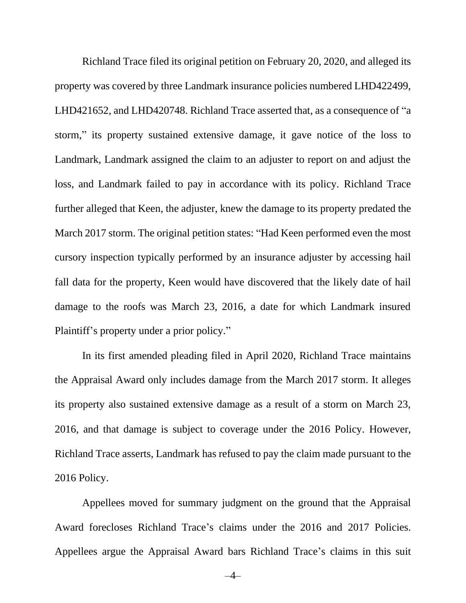Richland Trace filed its original petition on February 20, 2020, and alleged its property was covered by three Landmark insurance policies numbered LHD422499, LHD421652, and LHD420748. Richland Trace asserted that, as a consequence of "a storm," its property sustained extensive damage, it gave notice of the loss to Landmark, Landmark assigned the claim to an adjuster to report on and adjust the loss, and Landmark failed to pay in accordance with its policy. Richland Trace further alleged that Keen, the adjuster, knew the damage to its property predated the March 2017 storm. The original petition states: "Had Keen performed even the most cursory inspection typically performed by an insurance adjuster by accessing hail fall data for the property, Keen would have discovered that the likely date of hail damage to the roofs was March 23, 2016, a date for which Landmark insured Plaintiff's property under a prior policy."

In its first amended pleading filed in April 2020, Richland Trace maintains the Appraisal Award only includes damage from the March 2017 storm. It alleges its property also sustained extensive damage as a result of a storm on March 23, 2016, and that damage is subject to coverage under the 2016 Policy. However, Richland Trace asserts, Landmark has refused to pay the claim made pursuant to the 2016 Policy.

Appellees moved for summary judgment on the ground that the Appraisal Award forecloses Richland Trace's claims under the 2016 and 2017 Policies. Appellees argue the Appraisal Award bars Richland Trace's claims in this suit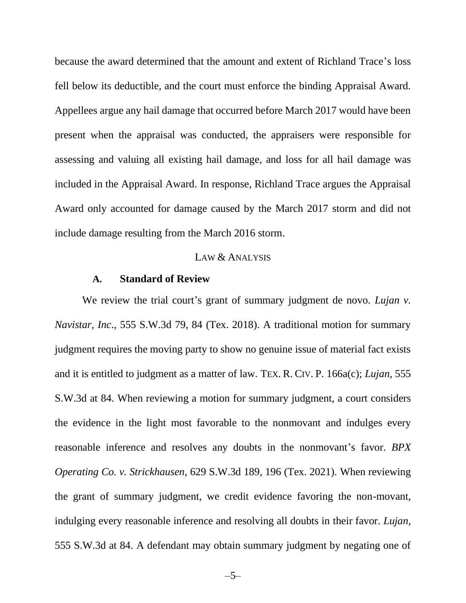because the award determined that the amount and extent of Richland Trace's loss fell below its deductible, and the court must enforce the binding Appraisal Award. Appellees argue any hail damage that occurred before March 2017 would have been present when the appraisal was conducted, the appraisers were responsible for assessing and valuing all existing hail damage, and loss for all hail damage was included in the Appraisal Award. In response, Richland Trace argues the Appraisal Award only accounted for damage caused by the March 2017 storm and did not include damage resulting from the March 2016 storm.

#### LAW & ANALYSIS

#### **A. Standard of Review**

We review the trial court's grant of summary judgment de novo. *Lujan v*. *Navistar, Inc*., 555 S.W.3d 79, 84 (Tex. 2018). A traditional motion for summary judgment requires the moving party to show no genuine issue of material fact exists and it is entitled to judgment as a matter of law. TEX. R. CIV. P. 166a(c); *Lujan*, 555 S.W.3d at 84. When reviewing a motion for summary judgment, a court considers the evidence in the light most favorable to the nonmovant and indulges every reasonable inference and resolves any doubts in the nonmovant's favor. *BPX Operating Co. v. Strickhausen*, 629 S.W.3d 189, 196 (Tex. 2021). When reviewing the grant of summary judgment, we credit evidence favoring the non-movant, indulging every reasonable inference and resolving all doubts in their favor. *Lujan*, 555 S.W.3d at 84. A defendant may obtain summary judgment by negating one of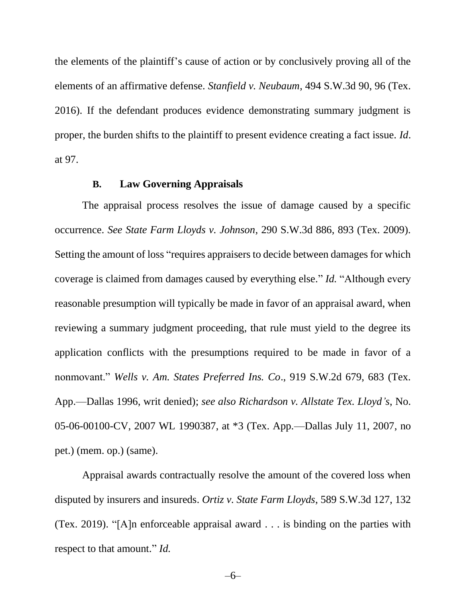the elements of the plaintiff's cause of action or by conclusively proving all of the elements of an affirmative defense. *Stanfield v. Neubaum*, 494 S.W.3d 90, 96 (Tex. 2016). If the defendant produces evidence demonstrating summary judgment is proper, the burden shifts to the plaintiff to present evidence creating a fact issue. *Id*. at 97.

#### **B. Law Governing Appraisals**

The appraisal process resolves the issue of damage caused by a specific occurrence. *See State Farm Lloyds v. Johnson*, 290 S.W.3d 886, 893 (Tex. 2009). Setting the amount of loss "requires appraisers to decide between damages for which coverage is claimed from damages caused by everything else." *Id.* "Although every reasonable presumption will typically be made in favor of an appraisal award, when reviewing a summary judgment proceeding, that rule must yield to the degree its application conflicts with the presumptions required to be made in favor of a nonmovant." *Wells v. Am. States Preferred Ins. Co*., 919 S.W.2d 679, 683 (Tex. App.—Dallas 1996, writ denied); *see also Richardson v. Allstate Tex. Lloyd's*, No. 05-06-00100-CV, 2007 WL 1990387, at \*3 (Tex. App.—Dallas July 11, 2007, no pet.) (mem. op.) (same).

Appraisal awards contractually resolve the amount of the covered loss when disputed by insurers and insureds. *Ortiz v. State Farm Lloyds*, 589 S.W.3d 127, 132 (Tex. 2019). "[A]n enforceable appraisal award . . . is binding on the parties with respect to that amount." *Id.*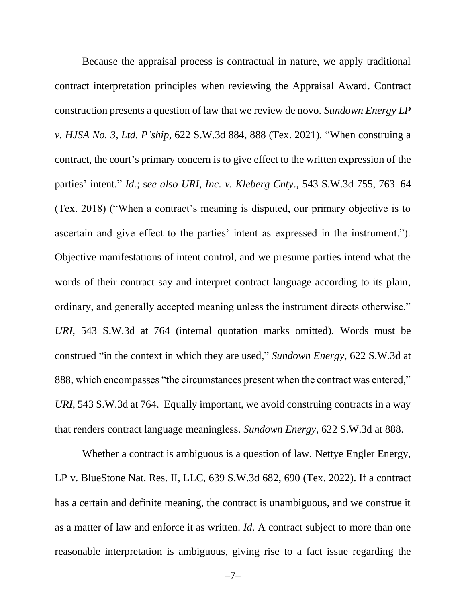Because the appraisal process is contractual in nature, we apply traditional contract interpretation principles when reviewing the Appraisal Award. Contract construction presents a question of law that we review de novo. *Sundown Energy LP v. HJSA No. 3, Ltd. P'ship*, 622 S.W.3d 884, 888 (Tex. 2021). "When construing a contract, the court's primary concern is to give effect to the written expression of the parties' intent." *Id.*; s*ee also URI, Inc. v. Kleberg Cnty*., 543 S.W.3d 755, 763–64 (Tex. 2018) ("When a contract's meaning is disputed, our primary objective is to ascertain and give effect to the parties' intent as expressed in the instrument."). Objective manifestations of intent control, and we presume parties intend what the words of their contract say and interpret contract language according to its plain, ordinary, and generally accepted meaning unless the instrument directs otherwise." *URI*, 543 S.W.3d at 764 (internal quotation marks omitted). Words must be construed "in the context in which they are used," *Sundown Energy*, 622 S.W.3d at 888, which encompasses "the circumstances present when the contract was entered," *URI*, 543 S.W.3d at 764. Equally important, we avoid construing contracts in a way that renders contract language meaningless. *Sundown Energy*, 622 S.W.3d at 888.

Whether a contract is ambiguous is a question of law. Nettye Engler Energy, LP v. BlueStone Nat. Res. II, LLC, 639 S.W.3d 682, 690 (Tex. 2022). If a contract has a certain and definite meaning, the contract is unambiguous, and we construe it as a matter of law and enforce it as written. *Id.* A contract subject to more than one reasonable interpretation is ambiguous, giving rise to a fact issue regarding the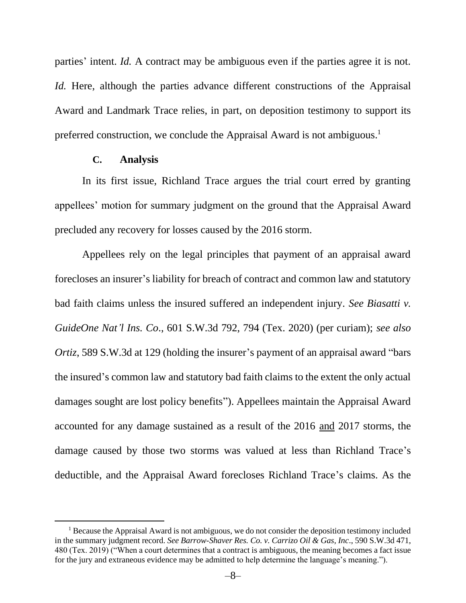parties' intent. *Id.* A contract may be ambiguous even if the parties agree it is not. *Id.* Here, although the parties advance different constructions of the Appraisal Award and Landmark Trace relies, in part, on deposition testimony to support its preferred construction, we conclude the Appraisal Award is not ambiguous.<sup>1</sup>

#### **C. Analysis**

In its first issue, Richland Trace argues the trial court erred by granting appellees' motion for summary judgment on the ground that the Appraisal Award precluded any recovery for losses caused by the 2016 storm.

Appellees rely on the legal principles that payment of an appraisal award forecloses an insurer's liability for breach of contract and common law and statutory bad faith claims unless the insured suffered an independent injury. *See Biasatti v. GuideOne Nat'l Ins. Co*., 601 S.W.3d 792, 794 (Tex. 2020) (per curiam); *see also Ortiz*, 589 S.W.3d at 129 (holding the insurer's payment of an appraisal award "bars the insured's common law and statutory bad faith claims to the extent the only actual damages sought are lost policy benefits"). Appellees maintain the Appraisal Award accounted for any damage sustained as a result of the 2016 and 2017 storms, the damage caused by those two storms was valued at less than Richland Trace's deductible, and the Appraisal Award forecloses Richland Trace's claims. As the

 $<sup>1</sup>$  Because the Appraisal Award is not ambiguous, we do not consider the deposition testimony included</sup> in the summary judgment record. *See Barrow-Shaver Res. Co. v. Carrizo Oil & Gas, Inc*., 590 S.W.3d 471, 480 (Tex. 2019) ("When a court determines that a contract is ambiguous, the meaning becomes a fact issue for the jury and extraneous evidence may be admitted to help determine the language's meaning.").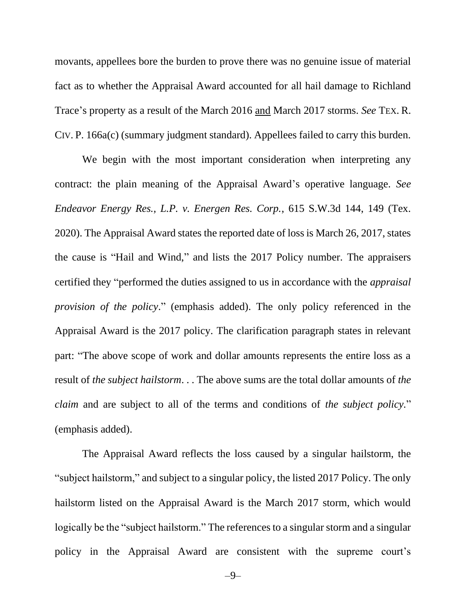movants, appellees bore the burden to prove there was no genuine issue of material fact as to whether the Appraisal Award accounted for all hail damage to Richland Trace's property as a result of the March 2016 and March 2017 storms. *See* TEX. R. CIV. P. 166a(c) (summary judgment standard). Appellees failed to carry this burden.

We begin with the most important consideration when interpreting any contract: the plain meaning of the Appraisal Award's operative language. *See Endeavor Energy Res., L.P. v. Energen Res. Corp.*, 615 S.W.3d 144, 149 (Tex. 2020). The Appraisal Award states the reported date of loss is March 26, 2017, states the cause is "Hail and Wind," and lists the 2017 Policy number. The appraisers certified they "performed the duties assigned to us in accordance with the *appraisal provision of the policy*." (emphasis added). The only policy referenced in the Appraisal Award is the 2017 policy. The clarification paragraph states in relevant part: "The above scope of work and dollar amounts represents the entire loss as a result of *the subject hailstorm*. . . The above sums are the total dollar amounts of *the claim* and are subject to all of the terms and conditions of *the subject policy.*" (emphasis added).

The Appraisal Award reflects the loss caused by a singular hailstorm, the "subject hailstorm," and subject to a singular policy, the listed 2017 Policy. The only hailstorm listed on the Appraisal Award is the March 2017 storm, which would logically be the "subject hailstorm." The references to a singular storm and a singular policy in the Appraisal Award are consistent with the supreme court's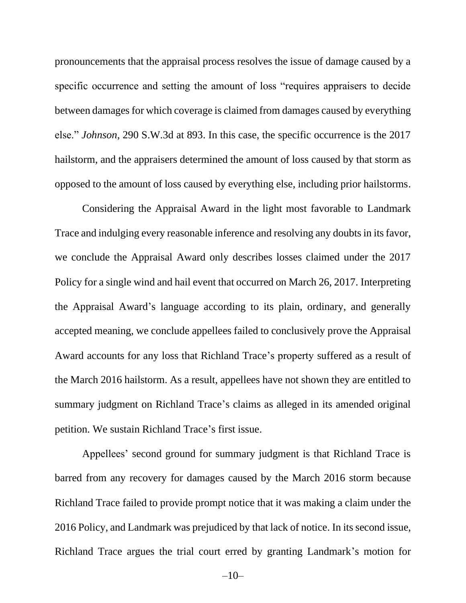pronouncements that the appraisal process resolves the issue of damage caused by a specific occurrence and setting the amount of loss "requires appraisers to decide between damages for which coverage is claimed from damages caused by everything else." *Johnson*, 290 S.W.3d at 893. In this case, the specific occurrence is the 2017 hailstorm, and the appraisers determined the amount of loss caused by that storm as opposed to the amount of loss caused by everything else, including prior hailstorms.

Considering the Appraisal Award in the light most favorable to Landmark Trace and indulging every reasonable inference and resolving any doubts in its favor, we conclude the Appraisal Award only describes losses claimed under the 2017 Policy for a single wind and hail event that occurred on March 26, 2017. Interpreting the Appraisal Award's language according to its plain, ordinary, and generally accepted meaning, we conclude appellees failed to conclusively prove the Appraisal Award accounts for any loss that Richland Trace's property suffered as a result of the March 2016 hailstorm. As a result, appellees have not shown they are entitled to summary judgment on Richland Trace's claims as alleged in its amended original petition. We sustain Richland Trace's first issue.

Appellees' second ground for summary judgment is that Richland Trace is barred from any recovery for damages caused by the March 2016 storm because Richland Trace failed to provide prompt notice that it was making a claim under the 2016 Policy, and Landmark was prejudiced by that lack of notice. In its second issue, Richland Trace argues the trial court erred by granting Landmark's motion for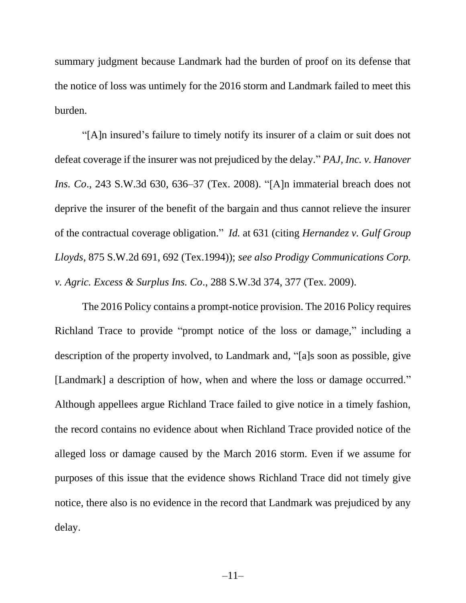summary judgment because Landmark had the burden of proof on its defense that the notice of loss was untimely for the 2016 storm and Landmark failed to meet this burden.

"[A]n insured's failure to timely notify its insurer of a claim or suit does not defeat coverage if the insurer was not prejudiced by the delay." *PAJ, Inc. v. Hanover Ins. Co*., 243 S.W.3d 630, 636–37 (Tex. 2008). "[A]n immaterial breach does not deprive the insurer of the benefit of the bargain and thus cannot relieve the insurer of the contractual coverage obligation." *Id.* at 631 (citing *Hernandez v. Gulf Group Lloyds*, 875 S.W.2d 691, 692 (Tex.1994)); *see also Prodigy Communications Corp. v. Agric. Excess & Surplus Ins. Co*., 288 S.W.3d 374, 377 (Tex. 2009).

The 2016 Policy contains a prompt-notice provision. The 2016 Policy requires Richland Trace to provide "prompt notice of the loss or damage," including a description of the property involved, to Landmark and, "[a]s soon as possible, give [Landmark] a description of how, when and where the loss or damage occurred." Although appellees argue Richland Trace failed to give notice in a timely fashion, the record contains no evidence about when Richland Trace provided notice of the alleged loss or damage caused by the March 2016 storm. Even if we assume for purposes of this issue that the evidence shows Richland Trace did not timely give notice, there also is no evidence in the record that Landmark was prejudiced by any delay.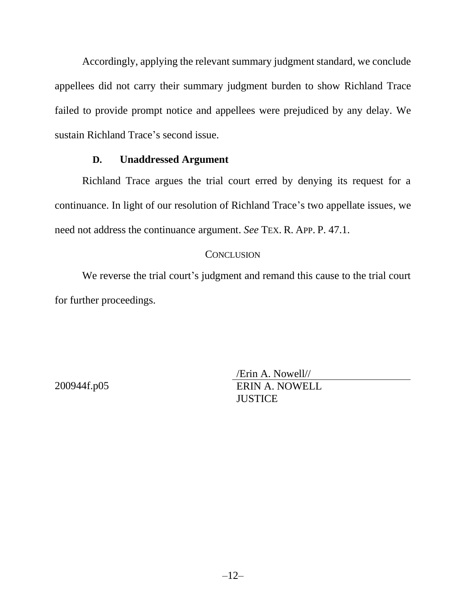Accordingly, applying the relevant summary judgment standard, we conclude appellees did not carry their summary judgment burden to show Richland Trace failed to provide prompt notice and appellees were prejudiced by any delay. We sustain Richland Trace's second issue.

### **D. Unaddressed Argument**

Richland Trace argues the trial court erred by denying its request for a continuance. In light of our resolution of Richland Trace's two appellate issues, we need not address the continuance argument. *See* TEX. R. APP. P. 47.1.

### **CONCLUSION**

We reverse the trial court's judgment and remand this cause to the trial court for further proceedings.

200944f.p05

/Erin A. Nowell// ERIN A. NOWELL **JUSTICE**